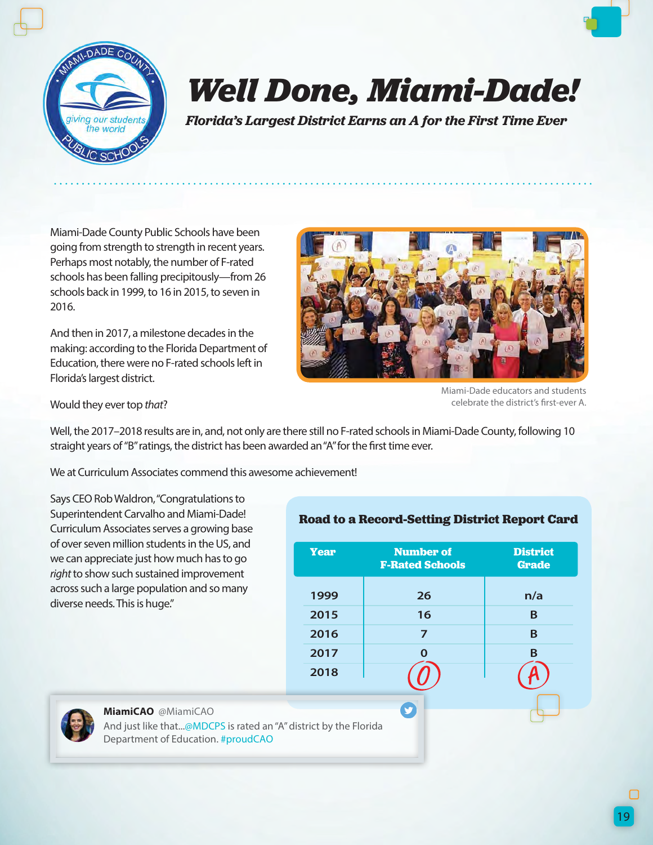

## *Well Done, Miami-Dade!*

*Florida's Largest District Earns an A for the First Time Ever*

Miami-Dade County Public Schools have been going from strength to strength in recent years. Perhaps most notably, the number of F-rated schools has been falling precipitously—from 26 schools back in 1999, to 16 in 2015, to seven in 2016.

And then in 2017, a milestone decades in the making: according to the Florida Department of Education, there were no F-rated schools left in Florida's largest district.



Miami-Dade educators and students celebrate the district's first-ever A.

Would they ever top *that*?

Well, the 2017–2018 results are in, and, not only are there still no F-rated schools in Miami-Dade County, following 10 straight years of "B" ratings, the district has been awarded an "A" for the first time ever.

We at Curriculum Associates commend this awesome achievement!

Says CEO Rob Waldron, "Congratulations to Superintendent Carvalho and Miami-Dade! Curriculum Associates serves a growing base of over seven million students in the US, and we can appreciate just how much has to go *right* to show such sustained improvement across such a large population and so many diverse needs. This is huge."

## **Road to a Record-Setting District Report Card**

| <b>Year</b> | <b>Number of</b><br><b>F-Rated Schools</b> | <b>District</b><br><b>Grade</b> |
|-------------|--------------------------------------------|---------------------------------|
| 1999        | 26                                         | n/a                             |
| 2015        | 16                                         | B                               |
| 2016        | 7                                          | B                               |
| 2017        | $\Omega$                                   | B                               |
| 2018        |                                            |                                 |
|             |                                            |                                 |



**MiamiCAO** @MiamiCAO

And just like that...@MDCPS is rated an "A" district by the Florida Department of Education. #proudCAO